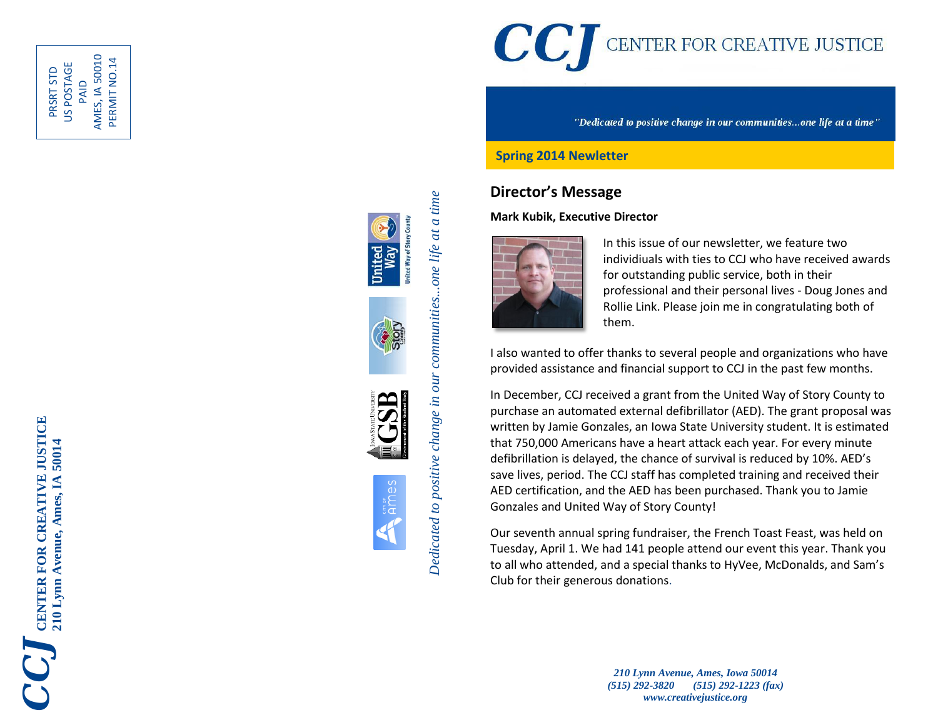

PAID<br>AMES, IA 50010 AMES, IA 50010 PERMIT NO.14 PERMIT NO.14US POSTAGE PRSRT STD











"Dedicated to positive change in our communities...one life at a time"

### **Spring 2014 Newletter**

### **Director's Message**

#### **Mark Kubik, Executive Director**



In this issue of our newsletter, we feature two individiuals with ties to CCJ who have received awards for outstanding public service, both in their professional and their personal lives - Doug Jone s and Rollie Link . Please join me in congratulating both of them.

I also wanted to offer thanks to several people and organizations who have provided assistance and financial support to CCJ in the past few months .

In December, CCJ received a grant from the United Way of Story County to purchase an automated external defibrillator (AED). The grant proposal was written by Jamie Gonzales, an Iowa State University student. It is estimated that 750,000 Americans have a heart attack each year. For every minute defibrillation is delayed, the chance of survival is reduced by 10%. AED's save lives, period. The CCJ staff has completed training and received their AED certification, and the AED has been purchased. Thank you to Jamie Gonzales and United Way of Story County!

Our seventh annual spring fundraiser, the French Toast Feast, was held on Tuesday, April 1. We had 141 people attend our event this year . Thank you to all who attended, and a special thanks to HyVee, McDonalds, and Sam's Club for their generous donations .

> *210 Lynn Avenue, Ames, Iowa 50014 (515) 292 -3820 (515) 292 -1223 (fax) www.creativejustice.org*